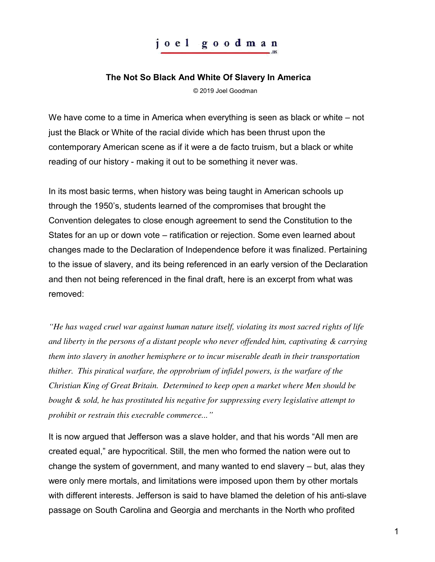## joel goodman

## **The Not So Black And White Of Slavery In America**

© 2019 Joel Goodman

We have come to a time in America when everything is seen as black or white – not just the Black or White of the racial divide which has been thrust upon the contemporary American scene as if it were a de facto truism, but a black or white reading of our history - making it out to be something it never was.

In its most basic terms, when history was being taught in American schools up through the 1950's, students learned of the compromises that brought the Convention delegates to close enough agreement to send the Constitution to the States for an up or down vote – ratification or rejection. Some even learned about changes made to the Declaration of Independence before it was finalized. Pertaining to the issue of slavery, and its being referenced in an early version of the Declaration and then not being referenced in the final draft, here is an excerpt from what was removed:

*"He has waged cruel war against human nature itself, violating its most sacred rights of life and liberty in the persons of a distant people who never offended him, captivating & carrying them into slavery in another hemisphere or to incur miserable death in their transportation thither. This piratical warfare, the opprobrium of infidel powers, is the warfare of the Christian King of Great Britain. Determined to keep open a market where Men should be bought & sold, he has prostituted his negative for suppressing every legislative attempt to prohibit or restrain this execrable commerce..."* 

It is now argued that Jefferson was a slave holder, and that his words "All men are created equal," are hypocritical. Still, the men who formed the nation were out to change the system of government, and many wanted to end slavery – but, alas they were only mere mortals, and limitations were imposed upon them by other mortals with different interests. Jefferson is said to have blamed the deletion of his anti-slave passage on South Carolina and Georgia and merchants in the North who profited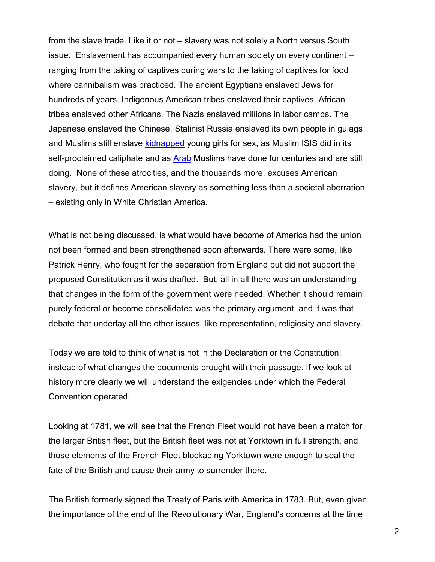from the slave trade. Like it or not – slavery was not solely a North versus South issue. Enslavement has accompanied every human society on every continent – ranging from the taking of captives during wars to the taking of captives for food where cannibalism was practiced. The ancient Egyptians enslaved Jews for hundreds of years. Indigenous American tribes enslaved their captives. African tribes enslaved other Africans. The Nazis enslaved millions in labor camps. The Japanese enslaved the Chinese. Stalinist Russia enslaved its own people in gulags and Muslims still enslave [kidnapped](http://shoebat.com/2016/11/12/muslim-gangsters-in-europe-are-kidnapping-thousands-of-young-women-and-girls-and-forcing-them-into-horrible-sex-slavery/) young girls for sex, as Muslim ISIS did in its self-proclaimed caliphate and as [Arab](http://originalpeople.org/the-arab-muslim-slave-trade-of-africans-the-untold-story/) Muslims have done for centuries and are still doing. None of these atrocities, and the thousands more, excuses American slavery, but it defines American slavery as something less than a societal aberration – existing only in White Christian America.

What is not being discussed, is what would have become of America had the union not been formed and been strengthened soon afterwards. There were some, like Patrick Henry, who fought for the separation from England but did not support the proposed Constitution as it was drafted. But, all in all there was an understanding that changes in the form of the government were needed. Whether it should remain purely federal or become consolidated was the primary argument, and it was that debate that underlay all the other issues, like representation, religiosity and slavery.

Today we are told to think of what is not in the Declaration or the Constitution, instead of what changes the documents brought with their passage. If we look at history more clearly we will understand the exigencies under which the Federal Convention operated.

Looking at 1781, we will see that the French Fleet would not have been a match for the larger British fleet, but the British fleet was not at Yorktown in full strength, and those elements of the French Fleet blockading Yorktown were enough to seal the fate of the British and cause their army to surrender there.

The British formerly signed the Treaty of Paris with America in 1783. But, even given the importance of the end of the Revolutionary War, England's concerns at the time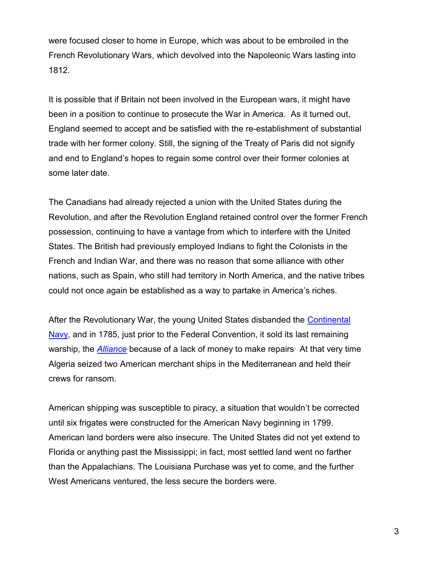were focused closer to home in Europe, which was about to be embroiled in the French Revolutionary Wars, which devolved into the Napoleonic Wars lasting into 1812.

It is possible that if Britain not been involved in the European wars, it might have been in a position to continue to prosecute the War in America. As it turned out, England seemed to accept and be satisfied with the re-establishment of substantial trade with her former colony. Still, the signing of the Treaty of Paris did not signify and end to England's hopes to regain some control over their former colonies at some later date.

The Canadians had already rejected a union with the United States during the Revolution, and after the Revolution England retained control over the former French possession, continuing to have a vantage from which to interfere with the United States. The British had previously employed Indians to fight the Colonists in the French and Indian War, and there was no reason that some alliance with other nations, such as Spain, who still had territory in North America, and the native tribes could not once again be established as a way to partake in America's riches.

After the Revolutionary War, the young United States disbanded the [Continental](https://en.wikipedia.org/wiki/Continental_Navy)  [Navy,](https://en.wikipedia.org/wiki/Continental_Navy) and in 1785, just prior to the Federal Convention, it sold its last remaining war[s](https://en.wikipedia.org/wiki/Original_six_frigates_of_the_United_States_Navy#cite_note-Fowler8-8)hip, the *[Alliance](https://en.wikipedia.org/wiki/USS_Alliance_(1778))* because of a lack of money to make repairs<sup>.</sup> At that very time Algeria seized two American merchant ships in the Mediterranean and held their crews for ransom.

American shipping was susceptible to piracy, a situation that wouldn't be corrected until six frigates were constructed for the American Navy beginning in 1799. American land borders were also insecure. The United States did not yet extend to Florida or anything past the Mississippi; in fact, most settled land went no farther than the Appalachians. The Louisiana Purchase was yet to come, and the further West Americans ventured, the less secure the borders were.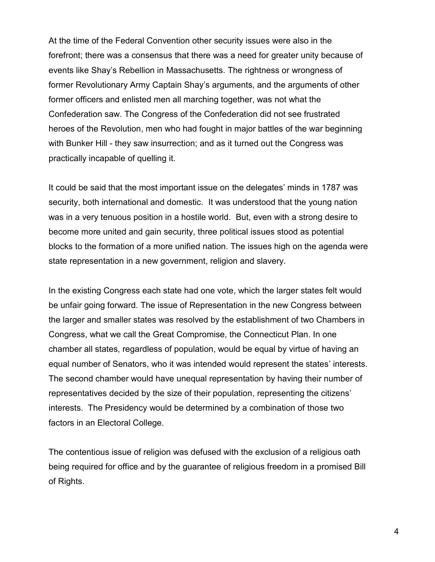At the time of the Federal Convention other security issues were also in the forefront; there was a consensus that there was a need for greater unity because of events like Shay's Rebellion in Massachusetts. The rightness or wrongness of former Revolutionary Army Captain Shay's arguments, and the arguments of other former officers and enlisted men all marching together, was not what the Confederation saw. The Congress of the Confederation did not see frustrated heroes of the Revolution, men who had fought in major battles of the war beginning with Bunker Hill - they saw insurrection; and as it turned out the Congress was practically incapable of quelling it.

It could be said that the most important issue on the delegates' minds in 1787 was security, both international and domestic. It was understood that the young nation was in a very tenuous position in a hostile world. But, even with a strong desire to become more united and gain security, three political issues stood as potential blocks to the formation of a more unified nation. The issues high on the agenda were state representation in a new government, religion and slavery.

In the existing Congress each state had one vote, which the larger states felt would be unfair going forward. The issue of Representation in the new Congress between the larger and smaller states was resolved by the establishment of two Chambers in Congress, what we call the Great Compromise, the Connecticut Plan. In one chamber all states, regardless of population, would be equal by virtue of having an equal number of Senators, who it was intended would represent the states' interests. The second chamber would have unequal representation by having their number of representatives decided by the size of their population, representing the citizens' interests. The Presidency would be determined by a combination of those two factors in an Electoral College.

The contentious issue of religion was defused with the exclusion of a religious oath being required for office and by the guarantee of religious freedom in a promised Bill of Rights.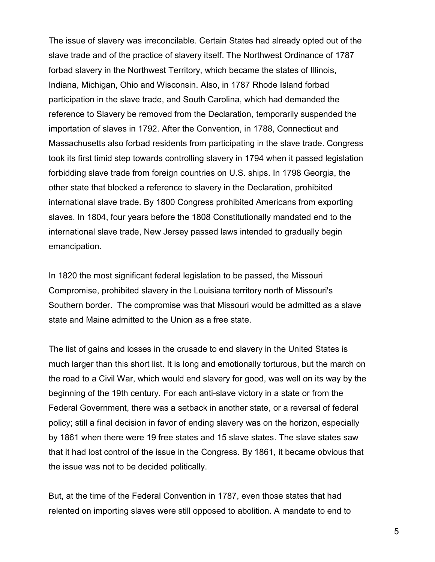The issue of slavery was irreconcilable. Certain States had already opted out of the slave trade and of the practice of slavery itself. The Northwest Ordinance of 1787 forbad slavery in the Northwest Territory, which became the states of Illinois, Indiana, Michigan, Ohio and Wisconsin. Also, in 1787 Rhode Island forbad participation in the slave trade, and South Carolina, which had demanded the reference to Slavery be removed from the Declaration, temporarily suspended the importation of slaves in 1792. After the Convention, in 1788, Connecticut and Massachusetts also forbad residents from participating in the slave trade. Congress took its first timid step towards controlling slavery in 1794 when it passed legislation forbidding slave trade from foreign countries on U.S. ships. In 1798 Georgia, the other state that blocked a reference to slavery in the Declaration, prohibited international slave trade. By 1800 Congress prohibited Americans from exporting slaves. In 1804, four years before the 1808 Constitutionally mandated end to the international slave trade, New Jersey passed laws intended to gradually begin emancipation.

In 1820 the most significant federal legislation to be passed, the Missouri Compromise, prohibited slavery in the Louisiana territory north of Missouri's Southern border. The compromise was that Missouri would be admitted as a slave state and Maine admitted to the Union as a free state.

The list of gains and losses in the crusade to end slavery in the United States is much larger than this short list. It is long and emotionally torturous, but the march on the road to a Civil War, which would end slavery for good, was well on its way by the beginning of the 19th century. For each anti-slave victory in a state or from the Federal Government, there was a setback in another state, or a reversal of federal policy; still a final decision in favor of ending slavery was on the horizon, especially by 1861 when there were 19 free states and 15 slave states. The slave states saw that it had lost control of the issue in the Congress. By 1861, it became obvious that the issue was not to be decided politically.

But, at the time of the Federal Convention in 1787, even those states that had relented on importing slaves were still opposed to abolition. A mandate to end to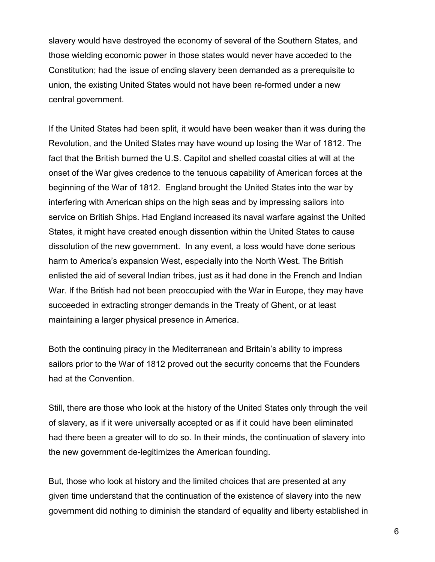slavery would have destroyed the economy of several of the Southern States, and those wielding economic power in those states would never have acceded to the Constitution; had the issue of ending slavery been demanded as a prerequisite to union, the existing United States would not have been re-formed under a new central government.

If the United States had been split, it would have been weaker than it was during the Revolution, and the United States may have wound up losing the War of 1812. The fact that the British burned the U.S. Capitol and shelled coastal cities at will at the onset of the War gives credence to the tenuous capability of American forces at the beginning of the War of 1812. England brought the United States into the war by interfering with American ships on the high seas and by impressing sailors into service on British Ships. Had England increased its naval warfare against the United States, it might have created enough dissention within the United States to cause dissolution of the new government. In any event, a loss would have done serious harm to America's expansion West, especially into the North West. The British enlisted the aid of several Indian tribes, just as it had done in the French and Indian War. If the British had not been preoccupied with the War in Europe, they may have succeeded in extracting stronger demands in the Treaty of Ghent, or at least maintaining a larger physical presence in America.

Both the continuing piracy in the Mediterranean and Britain's ability to impress sailors prior to the War of 1812 proved out the security concerns that the Founders had at the Convention.

Still, there are those who look at the history of the United States only through the veil of slavery, as if it were universally accepted or as if it could have been eliminated had there been a greater will to do so. In their minds, the continuation of slavery into the new government de-legitimizes the American founding.

But, those who look at history and the limited choices that are presented at any given time understand that the continuation of the existence of slavery into the new government did nothing to diminish the standard of equality and liberty established in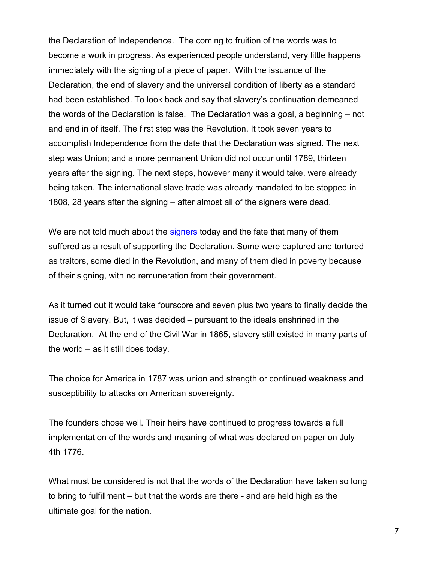the Declaration of Independence. The coming to fruition of the words was to become a work in progress. As experienced people understand, very little happens immediately with the signing of a piece of paper. With the issuance of the Declaration, the end of slavery and the universal condition of liberty as a standard had been established. To look back and say that slavery's continuation demeaned the words of the Declaration is false. The Declaration was a goal, a beginning – not and end in of itself. The first step was the Revolution. It took seven years to accomplish Independence from the date that the Declaration was signed. The next step was Union; and a more permanent Union did not occur until 1789, thirteen years after the signing. The next steps, however many it would take, were already being taken. The international slave trade was already mandated to be stopped in 1808, 28 years after the signing – after almost all of the signers were dead.

We are not told much about the [signers](https://www.constitution.org/bio/fate_of_signers.htm) today and the fate that many of them suffered as a result of supporting the Declaration. Some were captured and tortured as traitors, some died in the Revolution, and many of them died in poverty because of their signing, with no remuneration from their government.

As it turned out it would take fourscore and seven plus two years to finally decide the issue of Slavery. But, it was decided – pursuant to the ideals enshrined in the Declaration. At the end of the Civil War in 1865, slavery still existed in many parts of the world – as it still does today.

The choice for America in 1787 was union and strength or continued weakness and susceptibility to attacks on American sovereignty.

The founders chose well. Their heirs have continued to progress towards a full implementation of the words and meaning of what was declared on paper on July 4th 1776.

What must be considered is not that the words of the Declaration have taken so long to bring to fulfillment – but that the words are there - and are held high as the ultimate goal for the nation.